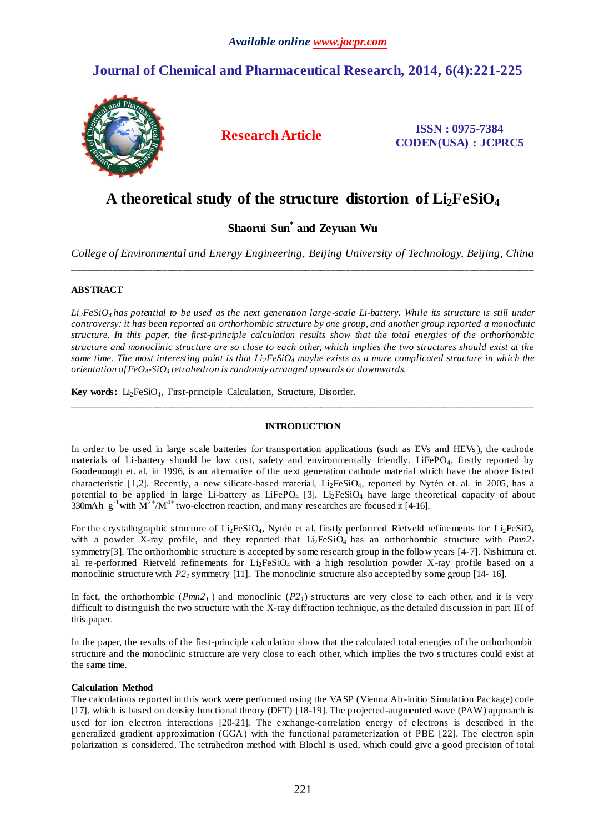## **Journal of Chemical and Pharmaceutical Research, 2014, 6(4):221-225**



**Research Article ISSN : 0975-7384 CODEN(USA) : JCPRC5**

# **A theoretical study of the structure distortion of Li2FeSiO<sup>4</sup>**

### **Shaorui Sun\* and Zeyuan Wu**

*College of Environmental and Energy Engineering, Beijing University of Technology, Beijing, China* \_\_\_\_\_\_\_\_\_\_\_\_\_\_\_\_\_\_\_\_\_\_\_\_\_\_\_\_\_\_\_\_\_\_\_\_\_\_\_\_\_\_\_\_\_\_\_\_\_\_\_\_\_\_\_\_\_\_\_\_\_\_\_\_\_\_\_\_\_\_\_\_\_\_\_\_\_\_\_\_\_\_\_\_\_\_\_\_\_\_\_\_\_

#### **ABSTRACT**

*Li2FeSiO<sup>4</sup> has potential to be used as the next generation large-scale Li-battery. While its structure is still under controversy: it has been reported an orthorhombic structure by one group, and another group reported a monoclinic structure. In this paper, the first-principle calculation results show that the total energies of the orthorhombic structure and monoclinic structure are so close to each other, which implies the two structures should exist at the same time. The most interesting point is that Li2FeSiO<sup>4</sup> maybe exists as a more complicated structure in which the orientation of FeO4-SiO4 tetrahedron is randomly arranged upwards or downwards.* 

**Key words:** Li<sub>2</sub>FeSiO<sub>4</sub>, First-principle Calculation, Structure, Disorder.

#### **INTRODUCTION**

\_\_\_\_\_\_\_\_\_\_\_\_\_\_\_\_\_\_\_\_\_\_\_\_\_\_\_\_\_\_\_\_\_\_\_\_\_\_\_\_\_\_\_\_\_\_\_\_\_\_\_\_\_\_\_\_\_\_\_\_\_\_\_\_\_\_\_\_\_\_\_\_\_\_\_\_\_\_\_\_\_\_\_\_\_\_\_\_\_\_\_\_\_

In order to be used in large scale batteries for transportation applications (such as EVs and HEVs ), the cathode materials of Li-battery should be low cost, safety and environmentally friendly. LiFePO<sub>4</sub>, firstly reported by Goodenough et. al. in 1996, is an alternative of the next generation cathode material which have the above listed characteristic [1,2]. Recently, a new silicate-based material, Li<sub>2</sub>FeSiO<sub>4</sub>, reported by Nytén et. al. in 2005, has a potential to be applied in large Li-battery as LiFePO<sub>4</sub> [3]. Li<sub>2</sub>FeSiO<sub>4</sub> have large theoretical capacity of about 330mAh g<sup>-1</sup>with  $\overline{M}^{2+}/M^{4+}$  two-electron reaction, and many researches are focused it [4-16].

For the crystallographic structure of  $Li_2FeSiO_4$ , Nyt én et al. firstly performed Rietveld refinements for  $Li_2FeSiO_4$ with a powder X-ray profile, and they reported that  $Li<sub>2</sub>FeSiO<sub>4</sub>$  has an orthorhombic structure with  $Pmn2<sub>1</sub>$ symmetry[3]. The orthorhombic structure is accepted by some research group in the follow years [4-7]. Nishimura et. al. re-performed Rietveld refinements for  $Li<sub>2</sub>FeSiO<sub>4</sub>$  with a high resolution powder X-ray profile based on a monoclinic structure with *P2*<sup>*1*</sup> symmetry [11]. The monoclinic structure also accepted by some group [14- 16].

In fact, the orthorhombic  $(Pmn2<sub>1</sub>)$  and monoclinic  $(P2<sub>1</sub>)$  structures are very close to each other, and it is very difficult to distinguish the two structure with the X-ray diffraction technique, as the detailed discussion in part III of this paper.

In the paper, the results of the first-principle calculation show that the calculated total energies of the orthorhombic structure and the monoclinic structure are very close to each other, which implies the two structures could exist at the same time.

#### **Calculation Method**

The calculations reported in this work were performed using the VASP (Vienna Ab -initio Simulation Package) code [17], which is based on density functional theory (DFT) [18-19]. The projected-augmented wave (PAW) approach is used for ion-electron interactions [20-21]. The exchange-correlation energy of electrons is described in the generalized gradient approximation (GGA) with the functional parameterization of PBE [22]. The electron spin polarization is considered. The tetrahedron method with Blochl is used, which could give a good precision of total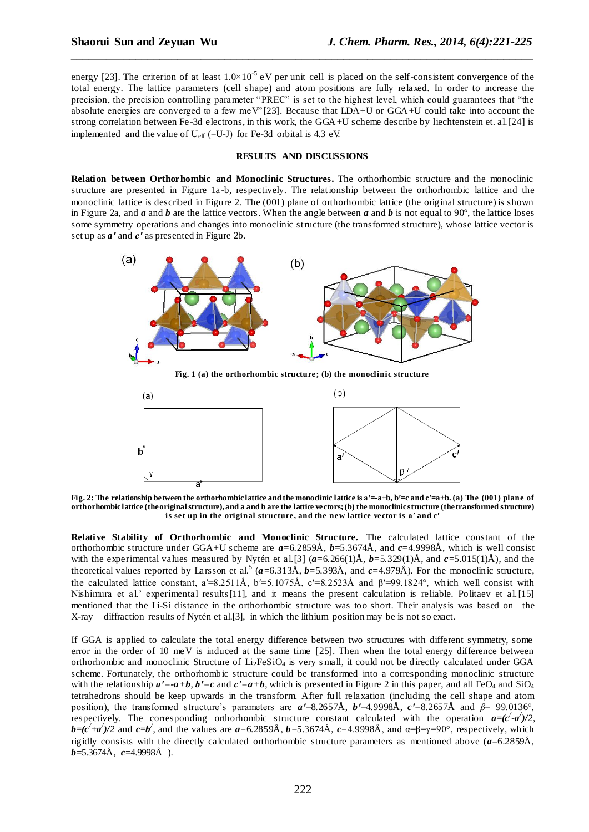energy [23]. The criterion of at least  $1.0 \times 10^{-5}$  eV per unit cell is placed on the self-consistent convergence of the total energy. The lattice parameters (cell shape) and atom positions are fully relaxed. In order to increase the precision, the precision controlling parameter "PREC" is set to the highest level, which could guarantees that "the absolute energies are converged to a few meV" [23]. Because that LDA+U or GGA+U could take into account the strong correlation between Fe -3d electrons, in this work, the GGA+U scheme describe by liechtenstein et. al.[24] is implemented and the value of  $U_{\text{eff}}$  (=U-J) for Fe-3d orbital is 4.3 eV.

*\_\_\_\_\_\_\_\_\_\_\_\_\_\_\_\_\_\_\_\_\_\_\_\_\_\_\_\_\_\_\_\_\_\_\_\_\_\_\_\_\_\_\_\_\_\_\_\_\_\_\_\_\_\_\_\_\_\_\_\_\_\_\_\_\_\_\_\_\_\_\_\_\_\_\_\_\_\_*

#### **RESULTS AND DISCUSSIONS**

**Relation between Orthorhombic and Monoclinic Structures.** The orthorhombic structure and the monoclinic structure are presented in Figure 1a -b, respectively. The relationship between the orthorhombic lattice and the monoclinic lattice is described in Figure 2. The (001) plane of orthorhombic lattice (the original structure) is shown in Figure 2a, and *a* and *b* are the lattice vectors. When the angle between *a* and *b* is not equal to 90°, the lattice loses some symmetry operations and changes into monoclinic structure (the transformed structure), whose lattice vector is set up as *a′* and *c′* as presented in Figure 2b.



**Fig. 1 (a) the orthorhombic structure; (b) the monoclinic structure**



**Fig. 2: The relationship between the orthorhombic lattice and the monoclinic lattice is a′=-a+b, b′=c and c′=a+b. (a) The (001) plane of orthorhombic lattice (the original structure), and a and b are the lattice vectors; (b) the monoclinic structure (the transformed structure) is set up in the original structure, and the new lattice vector is a′ and c′**

**Relative Stability of Orthorhombic and Monoclinic Structure.** The calculated lattice constant of the orthorhombic structure under GGA+U scheme are *a*=6.2859Å, *b*=5.3674Å, and *c*=4.9998Å, which is well consist with the experimental values measured by Nyt én et al. [3]  $(a=6.266(1)\text{\AA}, b=5.329(1)\text{\AA},$  and  $c=5.015(1)\text{\AA})$ , and the theoretical values reported by Larsson et al.<sup>5</sup> ( $a$ =6.313Å,  $b$ =5.393Å, and  $c$ =4.979Å). For the monoclinic structure, the calculated lattice constant, a′=8.2511Å, b′=5.1075Å, c′=8.2523Å and  $\beta'$ =99.1824°, which well consist with Nishimura et al.' experimental results[11], and it means the present calculation is reliable. Politaev et al.[15] mentioned that the Li-Si distance in the orthorhombic structure was too short. Their analysis was based on the X-ray diffraction results of Nytén et al.[3], in which the lithium position may be is not so exact.

If GGA is applied to calculate the total energy difference between two structures with different symmetry, some error in the order of 10 meV is induced at the same time [25]. Then when the total energy difference between orthorhombic and monoclinic Structure of  $Li<sub>2</sub>FeSiO<sub>4</sub>$  is very small, it could not be directly calculated under GGA scheme. Fortunately, the orthorhombic structure could be transformed into a corresponding monoclinic structure with the relationship  $a' = -a + b$ ,  $b' = c$  and  $c' = a + b$ , which is presented in Figure 2 in this paper, and all FeO<sub>4</sub> and SiO<sub>4</sub> tetrahedrons should be keep upwards in the transform. After full relaxation (including the cell shape and atom position), the transformed structure's parameters are *a′*=8.2657Å, *b′*=4.9998Å, *c′*=8.2657Å and *β*= 99.0136°, respectively. The corresponding orthorhombic structure constant calculated with the operation  $a = (c' - a')/2$ ,  $b=(c'+a')/2$  and  $c=b'$ , and the values are  $a=6.2859\text{\AA}$ ,  $b=5.3674\text{\AA}$ ,  $c=4.9998\text{\AA}$ , and  $\alpha=\beta=\gamma=90^\circ$ , respectively, which rigidly consists with the directly calculated orthorhombic structure parameters as mentioned above  $(a=6.2859\text{\AA})$ , *b*=5.3674Å, *c*=4.9998Å ).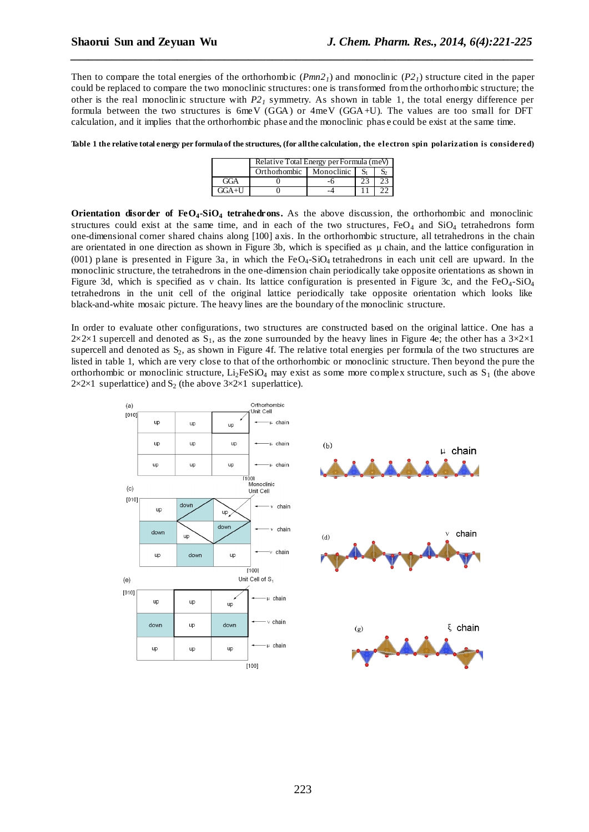Then to compare the total energies of the orthorhombic  $(Pmn2<sub>I</sub>)$  and monoclinic  $(P2<sub>I</sub>)$  structure cited in the paper could be replaced to compare the two monoclinic structures: one is transformed from the orthorhombic structure; the other is the real monoclinic structure with  $P_2$ <sup>1</sup> symmetry. As shown in table 1, the total energy difference per formula between the two structures is 6meV (GGA) or 4meV (GGA+U). The values are too small for DFT calculation, and it implies that the orthorhombic phase and the monoclinic phas e could be exist at the same time.

*\_\_\_\_\_\_\_\_\_\_\_\_\_\_\_\_\_\_\_\_\_\_\_\_\_\_\_\_\_\_\_\_\_\_\_\_\_\_\_\_\_\_\_\_\_\_\_\_\_\_\_\_\_\_\_\_\_\_\_\_\_\_\_\_\_\_\_\_\_\_\_\_\_\_\_\_\_\_*

**Table 1 the relative total energy per formula of the structures, (for all the calculation, the electron spin polarization is considered)**

|         | Relative Total Energy per Formula (meV) |            |  |  |
|---------|-----------------------------------------|------------|--|--|
|         | Orthorhombic                            | Monoclinic |  |  |
| GGA     |                                         |            |  |  |
| $GGA+U$ |                                         |            |  |  |

**Orientation disorder of FeO4-SiO<sup>4</sup> tetrahedrons.** As the above discussion, the orthorhombic and monoclinic structures could exist at the same time, and in each of the two structures,  $FeO<sub>4</sub>$  and  $SiO<sub>4</sub>$  tetrahedrons form one-dimensional corner shared chains along [100] axis. In the orthorhombic structure, all tetrahedrons in the chain are orientated in one direction as shown in Figure 3b, which is specified as μ chain, and the lattice configuration in (001) plane is presented in Figure 3a, in which the  $FeO<sub>4</sub>-SiO<sub>4</sub>$  tetrahedrons in each unit cell are upward. In the monoclinic structure, the tetrahedrons in the one-dimension chain periodically take opposite orientations as shown in Figure 3d, which is specified as v chain. Its lattice configuration is presented in Figure 3c, and the  $FeO<sub>4</sub>$ -SiO<sub>4</sub> tetrahedrons in the unit cell of the original lattice periodically take opposite orientation which looks like black-and-white mosaic picture. The heavy lines are the boundary of the monoclinic structure.

In order to evaluate other configurations, two structures are constructed based on the original lattice. One has a  $2\times2\times1$  supercell and denoted as S<sub>1</sub>, as the zone surrounded by the heavy lines in Figure 4e; the other has a  $3\times2\times1$ supercell and denoted as  $S_2$ , as shown in Figure 4f. The relative total energies per formula of the two structures are listed in table 1, which are very close to that of the orthorhombic or monoclinic structure. Then beyond the pure the orthorhombic or monoclinic structure, Li<sub>2</sub>FeSiO<sub>4</sub> may exist as some more complex structure, such as  $S_1$  (the above  $2\times2\times1$  superlattice) and S<sub>2</sub> (the above  $3\times2\times1$  superlattice).

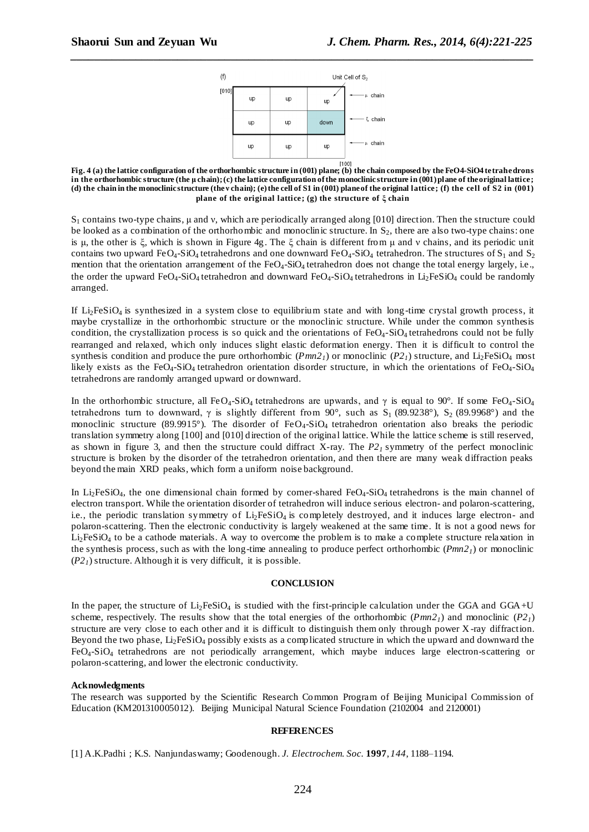

*\_\_\_\_\_\_\_\_\_\_\_\_\_\_\_\_\_\_\_\_\_\_\_\_\_\_\_\_\_\_\_\_\_\_\_\_\_\_\_\_\_\_\_\_\_\_\_\_\_\_\_\_\_\_\_\_\_\_\_\_\_\_\_\_\_\_\_\_\_\_\_\_\_\_\_\_\_\_*

**Fig. 4 (a) the lattice configuration of the orthorhombic structure in (001) plane; (b) the chain composed by the FeO4-SiO4 tetrahedrons in the orthorhombic structure (the μ chain); (c) the lattice configuration of the monoclinic structure in (001) plane of the original lattice; (d) the chain in the monoclinic structure (the ν chain); (e) the cell of S1 in (001) plane of the original lattice; (f) the cell of S2 in (001) plane of the original lattice; (g) the structure of ξ chain**

 $S_1$  contains two-type chains, μ and y, which are periodically arranged along [010] direction. Then the structure could be looked as a combination of the orthorhombic and monoclinic structure. In  $S_2$ , there are also two-type chains: one is μ, the other is ξ, which is shown in Figure 4g. The ξ chain is different from μ and ν chains, and its periodic unit contains two upward  $FeO_4-SiO_4$  tetrahedrons and one downward  $FeO_4-SiO_4$  tetrahedron. The structures of  $S_1$  and  $S_2$ mention that the orientation arrangement of the FeO<sub>4</sub>-SiO<sub>4</sub> tetrahedron does not change the total energy largely, i.e., the order the upward  $FeO_4$ -SiO<sub>4</sub> tetrahedron and downward  $FeO_4$ -SiO<sub>4</sub> tetrahedrons in Li<sub>2</sub>FeSiO<sub>4</sub> could be randomly arranged.

If  $Li_2FeSiO<sub>4</sub>$  is synthesized in a system close to equilibrium state and with long-time crystal growth process, it maybe crystallize in the orthorhombic structure or the monoclinic structure. While under the common synthesis condition, the crystallization process is so quick and the orientations of  $FeO<sub>4</sub>-SiO<sub>4</sub>$  tetrahedrons could not be fully rearranged and relaxed, which only induces slight elastic deformation energy. Then it is difficult to control the synthesis condition and produce the pure orthorhombic  $(Pmn2<sub>1</sub>)$  or monoclinic  $(P2<sub>1</sub>)$  structure, and Li<sub>2</sub>FeSiO<sub>4</sub> most likely exists as the FeO<sub>4</sub>-SiO<sub>4</sub> tetrahedron orientation disorder structure, in which the orientations of FeO<sub>4</sub>-SiO<sub>4</sub> tetrahedrons are randomly arranged upward or downward.

In the orthorhombic structure, all FeO<sub>4</sub>-SiO<sub>4</sub> tetrahedrons are upwards, and  $\gamma$  is equal to 90°. If some FeO<sub>4</sub>-SiO<sub>4</sub> tetrahedrons turn to downward,  $\gamma$  is slightly different from 90°, such as S<sub>1</sub> (89.9238°), S<sub>2</sub> (89.9968°) and the monoclinic structure (89.9915°). The disorder of  $FeO<sub>4</sub>-SiO<sub>4</sub>$  tetrahedron orientation also breaks the periodic translation symmetry along [100] and [010] direction of the original lattice. While the lattice scheme is still reserved, as shown in figure 3, and then the structure could diffract X-ray. The *P21* symmetry of the perfect monoclinic structure is broken by the disorder of the tetrahedron orientation, and then there are many weak diffraction peaks beyond the main XRD peaks, which form a uniform noise background.

In Li<sub>2</sub>FeSiO<sub>4</sub>, the one dimensional chain formed by corner-shared FeO<sub>4</sub>-SiO<sub>4</sub> tetrahedrons is the main channel of electron transport. While the orientation disorder of tetrahedron will induce serious electron- and polaron-scattering, i.e., the periodic translation symmetry of  $Li<sub>2</sub>FeSiO<sub>4</sub>$  is completely destroyed, and it induces large electron- and polaron-scattering. Then the electronic conductivity is largely weakened at the same time. It is not a good news for  $Li<sub>2</sub>FesiO<sub>4</sub>$  to be a cathode materials. A way to overcome the problem is to make a complete structure relaxation in the synthesis process, such as with the long-time annealing to produce perfect orthorhombic  $(Pmn2<sub>1</sub>)$  or monoclinic  $(P2<sub>l</sub>)$  structure. Although it is very difficult, it is possible.

#### **CONCLUSION**

In the paper, the structure of  $Li<sub>2</sub>FeSiO<sub>4</sub>$  is studied with the first-principle calculation under the GGA and GGA+U scheme, respectively. The results show that the total energies of the orthorhombic  $(Pmn2<sub>1</sub>)$  and monoclinic  $(P2<sub>1</sub>)$ structure are very close to each other and it is difficult to distinguish them only through power X -ray diffraction. Beyond the two phase, Li<sub>2</sub>FeSiO<sub>4</sub> possibly exists as a complicated structure in which the upward and downward the FeO4-SiO4 tetrahedrons are not periodically arrangement, which maybe induces large electron-scattering or polaron-scattering, and lower the electronic conductivity.

#### **Acknowledgments**

The research was supported by the Scientific Research Common Program of Beijing Municipal Commission of Education (KM201310005012). Beijing Municipal Natural Science Foundation (2102004 and 2120001)

#### **REFERENCES**

[1] A.K.Padhi ; K.S. Nanjundaswamy; Goodenough. *J. Electrochem. Soc.* **1997**, *144*, 1188–1194.